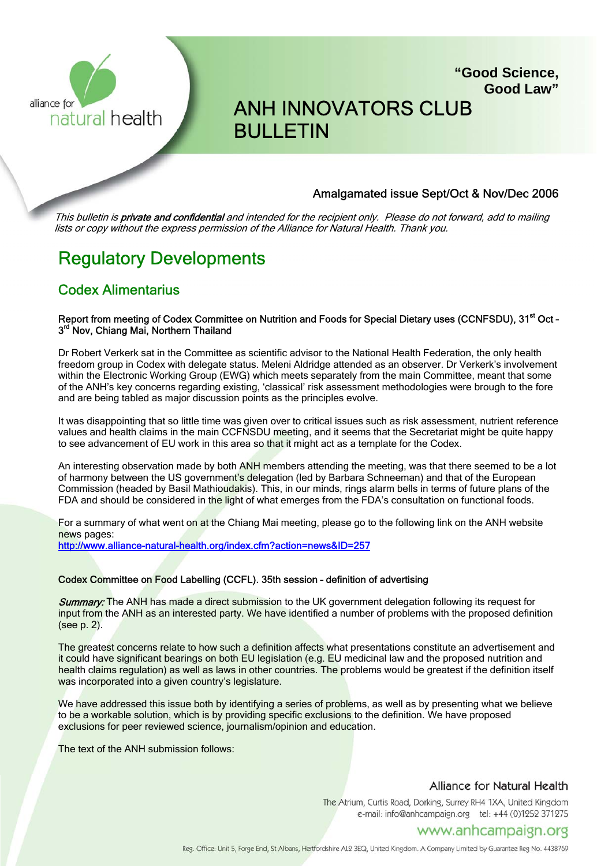

## ANH INNOVATORS CLUB BULLETIN

#### Amalgamated issue Sept/Oct & Nov/Dec 2006

**"Good Science,**

**Good Law"**

This bulletin is **private and confidential** and intended for the recipient only. Please do not forward, add to mailing lists or copy without the express permission of the Alliance for Natural Health. Thank you.

## Regulatory Developments

### Codex Alimentarius

#### Report from meeting of Codex Committee on Nutrition and Foods for Special Dietary uses (CCNFSDU), 31<sup>st</sup> Oct -3<sup>rd</sup> Nov, Chiang Mai, Northern Thailand

Dr Robert Verkerk sat in the Committee as scientific advisor to the National Health Federation, the only health freedom group in Codex with delegate status. Meleni Aldridge attended as an observer. Dr Verkerk's involvement within the Electronic Working Group (EWG) which meets separately from the main Committee, meant that some of the ANH's key concerns regarding existing, 'classical' risk assessment methodologies were brough to the fore and are being tabled as major discussion points as the principles evolve.

It was disappointing that so little time was given over to critical issues such as risk assessment, nutrient reference values and health claims in the main CCFNSDU meeting, and it seems that the Secretariat might be quite happy to see advancement of EU work in this area so that it might act as a template for the Codex.

An interesting observation made by both ANH members attending the meeting, was that there seemed to be a lot of harmony between the US government's delegation (led by Barbara Schneeman) and that of the European Commission (headed by Basil Mathioudakis). This, in our minds, rings alarm bells in terms of future plans of the FDA and should be considered in the light of what emerges from the FDA's consultation on functional foods.

For a summary of what went on at the Chiang Mai meeting, please go to the following link on the ANH website news pages:

http://www.alliance-natural-health.org/index.cfm?action=news&ID=257

#### Codex Committee on Food Labelling (CCFL). 35th session – definition of advertising

**Summary:** The ANH has made a direct submission to the UK government delegation following its request for input from the ANH as an interested party. We have identified a number of problems with the proposed definition (see p. 2).

The greatest concerns relate to how such a definition affects what presentations constitute an advertisement and it could have significant bearings on both EU legislation (e.g. EU medicinal law and the proposed nutrition and health claims regulation) as well as laws in other countries. The problems would be greatest if the definition itself was incorporated into a given country's legislature.

We have addressed this issue both by identifying a series of problems, as well as by presenting what we believe to be a workable solution, which is by providing specific exclusions to the definition. We have proposed exclusions for peer reviewed science, journalism/opinion and education.

The text of the ANH submission follows:

#### Alliance for Natural Health

The Atrium, Curtis Road, Dorking, Surrey RH4 1XA, United Kingdom e-mail: info@anhcampaign.org tel: +44 (0)1252 371275

#### www.anhcampaign.org

Reg. Office: Unit 5, Forge End, St Albans, Hertfordshire AL2 3EQ, United Kingdom. A Company Limited by Guarantee Reg No. 4438769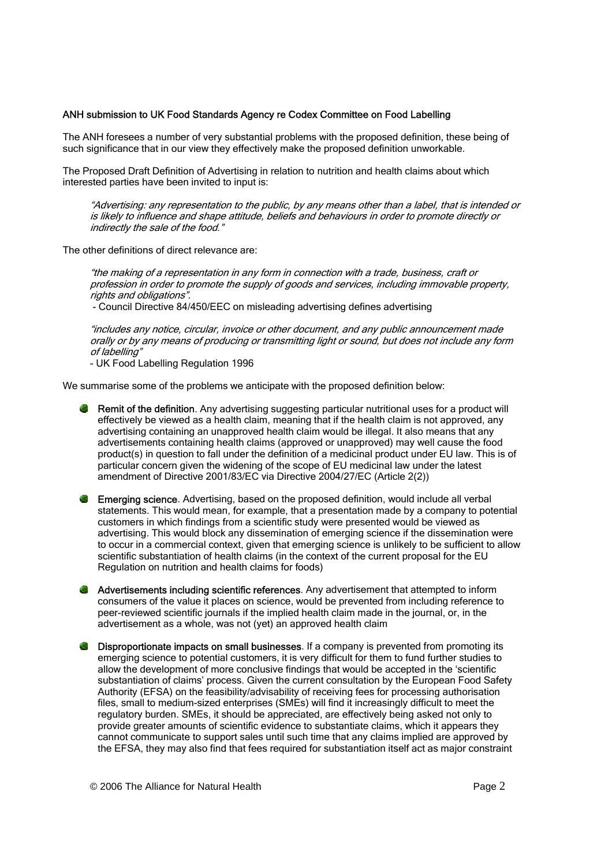#### ANH submission to UK Food Standards Agency re Codex Committee on Food Labelling

The ANH foresees a number of very substantial problems with the proposed definition, these being of such significance that in our view they effectively make the proposed definition unworkable.

The Proposed Draft Definition of Advertising in relation to nutrition and health claims about which interested parties have been invited to input is:

"Advertising: any representation to the public, by any means other than a label, that is intended or is likely to influence and shape attitude, beliefs and behaviours in order to promote directly or indirectly the sale of the food."

The other definitions of direct relevance are:

"the making of a representation in any form in connection with a trade, business, craft or profession in order to promote the supply of goods and services, including immovable property, rights and obligations".

- Council Directive 84/450/EEC on misleading advertising defines advertising

"includes any notice, circular, invoice or other document, and any public announcement made orally or by any means of producing or transmitting light or sound, but does not include any form of labelling"

- UK Food Labelling Regulation 1996

We summarise some of the problems we anticipate with the proposed definition below:

- **Remit of the definition**. Any advertising suggesting particular nutritional uses for a product will effectively be viewed as a health claim, meaning that if the health claim is not approved, any advertising containing an unapproved health claim would be illegal. It also means that any advertisements containing health claims (approved or unapproved) may well cause the food product(s) in question to fall under the definition of a medicinal product under EU law. This is of particular concern given the widening of the scope of EU medicinal law under the latest amendment of Directive 2001/83/EC via Directive 2004/27/EC (Article 2(2))
- **Emerging science.** Advertising, based on the proposed definition, would include all verbal statements. This would mean, for example, that a presentation made by a company to potential customers in which findings from a scientific study were presented would be viewed as advertising. This would block any dissemination of emerging science if the dissemination were to occur in a commercial context, given that emerging science is unlikely to be sufficient to allow scientific substantiation of health claims (in the context of the current proposal for the EU Regulation on nutrition and health claims for foods)
- **Advertisements including scientific references**. Any advertisement that attempted to inform consumers of the value it places on science, would be prevented from including reference to peer-reviewed scientific journals if the implied health claim made in the journal, or, in the advertisement as a whole, was not (yet) an approved health claim
- Disproportionate impacts on small businesses. If a company is prevented from promoting its emerging science to potential customers, it is very difficult for them to fund further studies to allow the development of more conclusive findings that would be accepted in the 'scientific substantiation of claims' process. Given the current consultation by the European Food Safety Authority (EFSA) on the feasibility/advisability of receiving fees for processing authorisation files, small to medium-sized enterprises (SMEs) will find it increasingly difficult to meet the regulatory burden. SMEs, it should be appreciated, are effectively being asked not only to provide greater amounts of scientific evidence to substantiate claims, which it appears they cannot communicate to support sales until such time that any claims implied are approved by the EFSA, they may also find that fees required for substantiation itself act as major constraint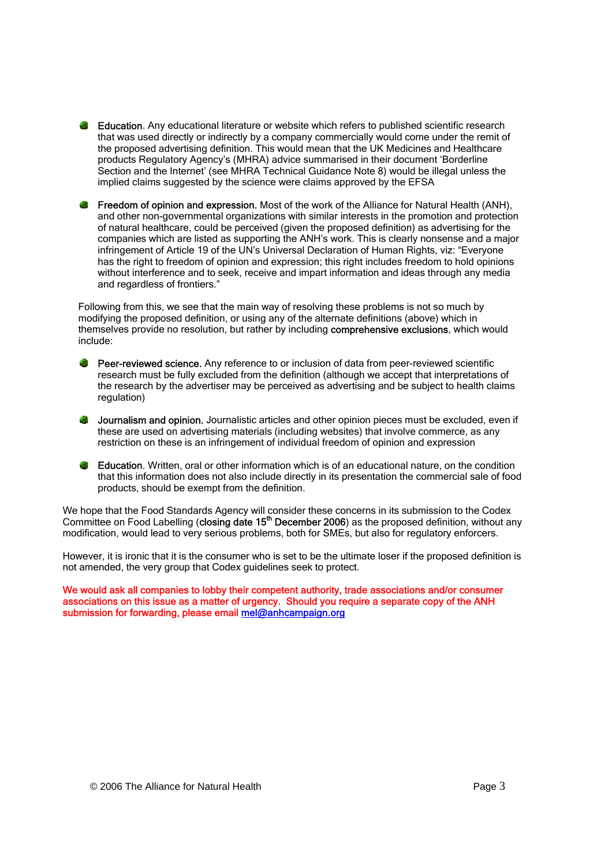- **Education**. Any educational literature or website which refers to published scientific research that was used directly or indirectly by a company commercially would come under the remit of the proposed advertising definition. This would mean that the UK Medicines and Healthcare products Regulatory Agency's (MHRA) advice summarised in their document 'Borderline Section and the Internet' (see MHRA Technical Guidance Note 8) would be illegal unless the implied claims suggested by the science were claims approved by the EFSA
- **Freedom of opinion and expression.** Most of the work of the Alliance for Natural Health (ANH), and other non-governmental organizations with similar interests in the promotion and protection of natural healthcare, could be perceived (given the proposed definition) as advertising for the companies which are listed as supporting the ANH's work. This is clearly nonsense and a major infringement of Article 19 of the UN's Universal Declaration of Human Rights, viz: "Everyone has the right to freedom of opinion and expression; this right includes freedom to hold opinions without interference and to seek, receive and impart information and ideas through any media and regardless of frontiers."

Following from this, we see that the main way of resolving these problems is not so much by modifying the proposed definition, or using any of the alternate definitions (above) which in themselves provide no resolution, but rather by including comprehensive exclusions, which would include:

- **Peer-reviewed science.** Any reference to or inclusion of data from peer-reviewed scientific research must be fully excluded from the definition (although we accept that interpretations of the research by the advertiser may be perceived as advertising and be subject to health claims regulation)
- **Journalism and opinion.** Journalistic articles and other opinion pieces must be excluded, even if these are used on advertising materials (including websites) that involve commerce, as any restriction on these is an infringement of individual freedom of opinion and expression
- **Education**. Written, oral or other information which is of an educational nature, on the condition that this information does not also include directly in its presentation the commercial sale of food products, should be exempt from the definition.

We hope that the Food Standards Agency will consider these concerns in its submission to the Codex Committee on Food Labelling (closing date 15<sup>th</sup> December 2006) as the proposed definition, without any modification, would lead to very serious problems, both for SMEs, but also for regulatory enforcers.

However, it is ironic that it is the consumer who is set to be the ultimate loser if the proposed definition is not amended, the very group that Codex guidelines seek to protect.

We would ask all companies to lobby their competent authority, trade associations and/or consumer associations on this issue as a matter of urgency. Should you require a separate copy of the ANH submission for forwarding, please email mel@anhcampaign.org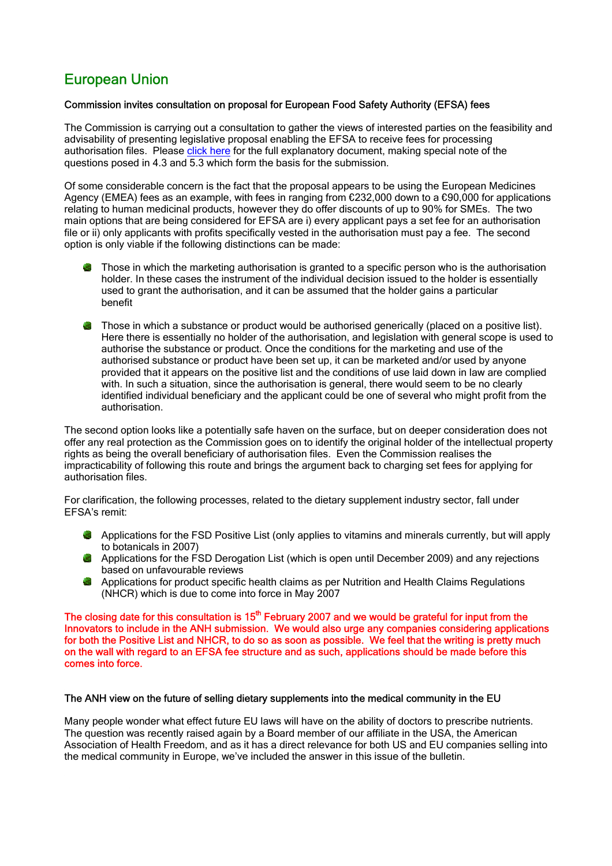## European Union

#### Commission invites consultation on proposal for European Food Safety Authority (EFSA) fees

The Commission is carrying out a consultation to gather the views of interested parties on the feasibility and advisability of presenting legislative proposal enabling the EFSA to receive fees for processing authorisation files. Please click here for the full explanatory document, making special note of the questions posed in 4.3 and 5.3 which form the basis for the submission.

Of some considerable concern is the fact that the proposal appears to be using the European Medicines Agency (EMEA) fees as an example, with fees in ranging from €232,000 down to a €90,000 for applications relating to human medicinal products, however they do offer discounts of up to 90% for SMEs. The two main options that are being considered for EFSA are i) every applicant pays a set fee for an authorisation file or ii) only applicants with profits specifically vested in the authorisation must pay a fee. The second option is only viable if the following distinctions can be made:

- **Those in which the marketing authorisation is granted to a specific person who is the authorisation** holder. In these cases the instrument of the individual decision issued to the holder is essentially used to grant the authorisation, and it can be assumed that the holder gains a particular benefit
- Those in which a substance or product would be authorised generically (placed on a positive list). Here there is essentially no holder of the authorisation, and legislation with general scope is used to authorise the substance or product. Once the conditions for the marketing and use of the authorised substance or product have been set up, it can be marketed and/or used by anyone provided that it appears on the positive list and the conditions of use laid down in law are complied with. In such a situation, since the authorisation is general, there would seem to be no clearly identified individual beneficiary and the applicant could be one of several who might profit from the authorisation.

The second option looks like a potentially safe haven on the surface, but on deeper consideration does not offer any real protection as the Commission goes on to identify the original holder of the intellectual property rights as being the overall beneficiary of authorisation files. Even the Commission realises the impracticability of following this route and brings the argument back to charging set fees for applying for authorisation files.

For clarification, the following processes, related to the dietary supplement industry sector, fall under EFSA's remit:

- Applications for the FSD Positive List (only applies to vitamins and minerals currently, but will apply to botanicals in 2007)
- $\bullet$  Applications for the FSD Derogation List (which is open until December 2009) and any rejections based on unfavourable reviews
- Applications for product specific health claims as per Nutrition and Health Claims Regulations (NHCR) which is due to come into force in May 2007

The closing date for this consultation is  $15<sup>th</sup>$  February 2007 and we would be grateful for input from the Innovators to include in the ANH submission. We would also urge any companies considering applications for both the Positive List and NHCR, to do so as soon as possible. We feel that the writing is pretty much on the wall with regard to an EFSA fee structure and as such, applications should be made before this comes into force.

#### The ANH view on the future of selling dietary supplements into the medical community in the EU

Many people wonder what effect future EU laws will have on the ability of doctors to prescribe nutrients. The question was recently raised again by a Board member of our affiliate in the USA, the American Association of Health Freedom, and as it has a direct relevance for both US and EU companies selling into the medical community in Europe, we've included the answer in this issue of the bulletin.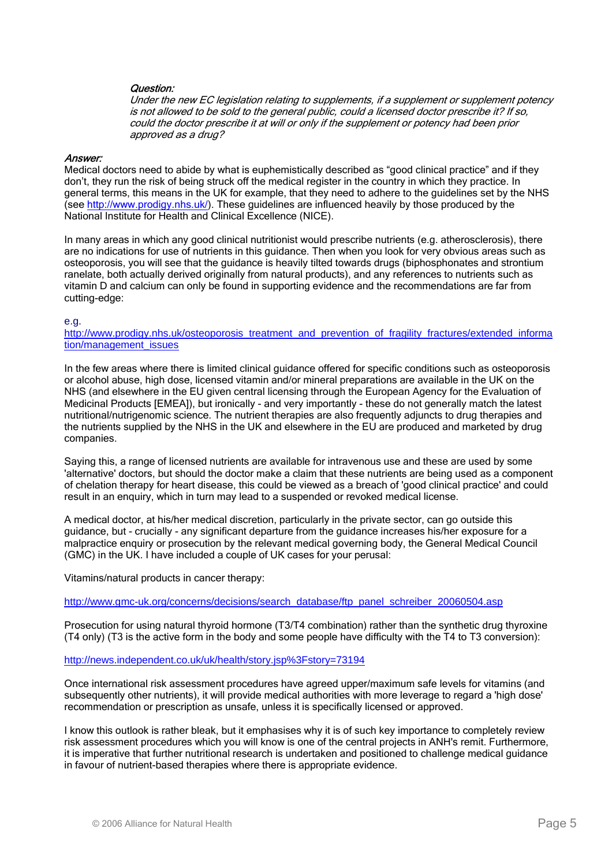#### Question:

Under the new EC legislation relating to supplements, if a supplement or supplement potency is not allowed to be sold to the general public, could a licensed doctor prescribe it? If so, could the doctor prescribe it at will or only if the supplement or potency had been prior approved as a drug?

#### Answer:

Medical doctors need to abide by what is euphemistically described as "good clinical practice" and if they don't, they run the risk of being struck off the medical register in the country in which they practice. In general terms, this means in the UK for example, that they need to adhere to the guidelines set by the NHS (see http://www.prodigy.nhs.uk/). These guidelines are influenced heavily by those produced by the National Institute for Health and Clinical Excellence (NICE).

In many areas in which any good clinical nutritionist would prescribe nutrients (e.g. atherosclerosis), there are no indications for use of nutrients in this guidance. Then when you look for very obvious areas such as osteoporosis, you will see that the guidance is heavily tilted towards drugs (biphosphonates and strontium ranelate, both actually derived originally from natural products), and any references to nutrients such as vitamin D and calcium can only be found in supporting evidence and the recommendations are far from cutting-edge:

#### e.g.

http://www.prodigy.nhs.uk/osteoporosis\_treatment\_and\_prevention\_of\_fragility\_fractures/extended\_informa tion/management\_issues

In the few areas where there is limited clinical guidance offered for specific conditions such as osteoporosis or alcohol abuse, high dose, licensed vitamin and/or mineral preparations are available in the UK on the NHS (and elsewhere in the EU given central licensing through the European Agency for the Evaluation of Medicinal Products [EMEA]), but ironically - and very importantly - these do not generally match the latest nutritional/nutrigenomic science. The nutrient therapies are also frequently adjuncts to drug therapies and the nutrients supplied by the NHS in the UK and elsewhere in the EU are produced and marketed by drug companies.

Saying this, a range of licensed nutrients are available for intravenous use and these are used by some 'alternative' doctors, but should the doctor make a claim that these nutrients are being used as a component of chelation therapy for heart disease, this could be viewed as a breach of 'good clinical practice' and could result in an enquiry, which in turn may lead to a suspended or revoked medical license.

A medical doctor, at his/her medical discretion, particularly in the private sector, can go outside this guidance, but - crucially - any significant departure from the guidance increases his/her exposure for a malpractice enquiry or prosecution by the relevant medical governing body, the General Medical Council (GMC) in the UK. I have included a couple of UK cases for your perusal:

Vitamins/natural products in cancer therapy:

http://www.gmc-uk.org/concerns/decisions/search\_database/ftp\_panel\_schreiber\_20060504.asp

Prosecution for using natural thyroid hormone (T3/T4 combination) rather than the synthetic drug thyroxine (T4 only) (T3 is the active form in the body and some people have difficulty with the T4 to T3 conversion):

http://news.independent.co.uk/uk/health/story.jsp%3Fstory=73194

Once international risk assessment procedures have agreed upper/maximum safe levels for vitamins (and subsequently other nutrients), it will provide medical authorities with more leverage to regard a 'high dose' recommendation or prescription as unsafe, unless it is specifically licensed or approved.

I know this outlook is rather bleak, but it emphasises why it is of such key importance to completely review risk assessment procedures which you will know is one of the central projects in ANH's remit. Furthermore, it is imperative that further nutritional research is undertaken and positioned to challenge medical guidance in favour of nutrient-based therapies where there is appropriate evidence.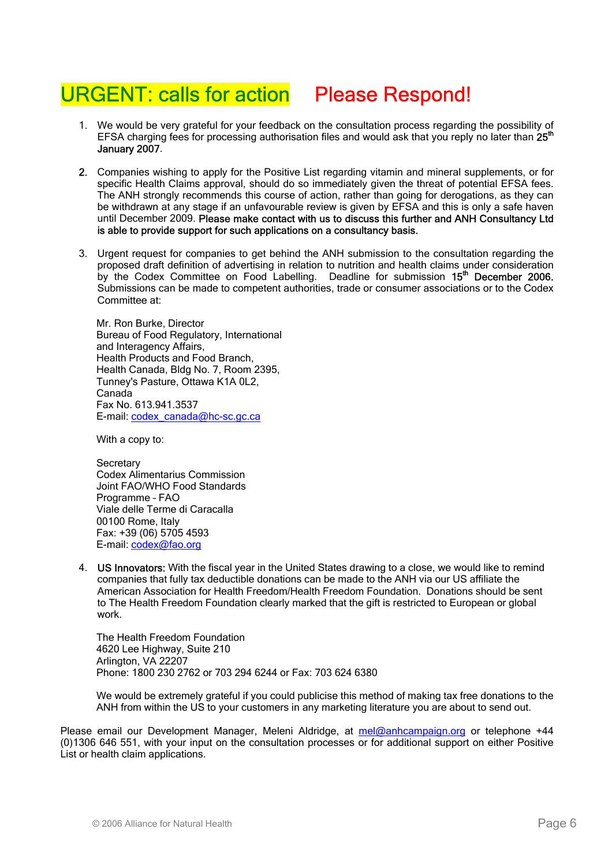# URGENT: calls for action Please Respond!

- 1. We would be very grateful for your feedback on the consultation process regarding the possibility of EFSA charging fees for processing authorisation files and would ask that you reply no later than 25<sup>th</sup> January 2007.
- 2. Companies wishing to apply for the Positive List regarding vitamin and mineral supplements, or for specific Health Claims approval, should do so immediately given the threat of potential EFSA fees. The ANH strongly recommends this course of action, rather than going for derogations, as they can be withdrawn at any stage if an unfavourable review is given by EFSA and this is only a safe haven until December 2009. Please make contact with us to discuss this further and ANH Consultancy Ltd is able to provide support for such applications on a consultancy basis.
- 3. Urgent request for companies to get behind the ANH submission to the consultation regarding the proposed draft definition of advertising in relation to nutrition and health claims under consideration by the Codex Committee on Food Labelling. Deadline for submission 15<sup>th</sup> December 2006. Submissions can be made to competent authorities, trade or consumer associations or to the Codex Committee at:

Mr. Ron Burke, Director Bureau of Food Regulatory, International and Interagency Affairs, Health Products and Food Branch, Health Canada, Bldg No. 7, Room 2395, Tunney's Pasture, Ottawa K1A 0L2, Canada Fax No. 613.941.3537 E-mail: codex\_canada@hc-sc.gc.ca

With a copy to:

**Secretary** Codex Alimentarius Commission Joint FAO/WHO Food Standards Programme – FAO Viale delle Terme di Caracalla 00100 Rome, Italy Fax: +39 (06) 5705 4593 E-mail: codex@fao.org

4. US Innovators: With the fiscal year in the United States drawing to a close, we would like to remind companies that fully tax deductible donations can be made to the ANH via our US affiliate the American Association for Health Freedom/Health Freedom Foundation. Donations should be sent to The Health Freedom Foundation clearly marked that the gift is restricted to European or global work.

The Health Freedom Foundation 4620 Lee Highway, Suite 210 Arlington, VA 22207 Phone: 1800 230 2762 or 703 294 6244 or Fax: 703 624 6380

We would be extremely grateful if you could publicise this method of making tax free donations to the ANH from within the US to your customers in any marketing literature you are about to send out.

Please email our Development Manager, Meleni Aldridge, at mel@anhcampaign.org or telephone +44 (0)1306 646 551, with your input on the consultation processes or for additional support on either Positive List or health claim applications.